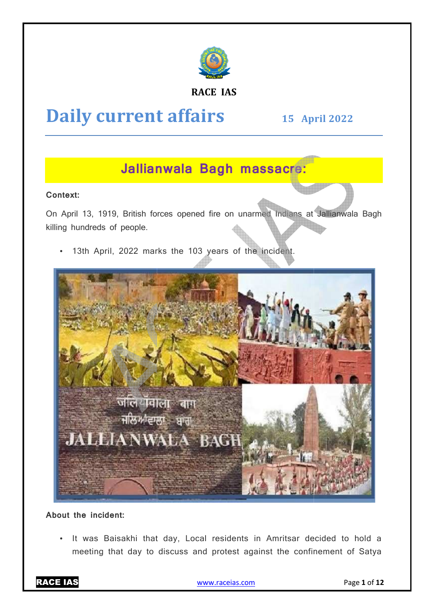

## **RACE IAS**

# **Daily current affairs**

**15 April April 2022** 

## **Jallianwala Bagh massacre:**

## **Context:**

On April 13, 1919, British forces opened fire on unarmed Indians at Jallianwala Bagh killing hundreds of people.

13th April, 2022 marks the 103 years of the incident.



## **About the incident:**

• It was Baisakhi that day, Local residents in Amritsar decided to hold a meeting that day to discuss and protest against the confinement of Satya

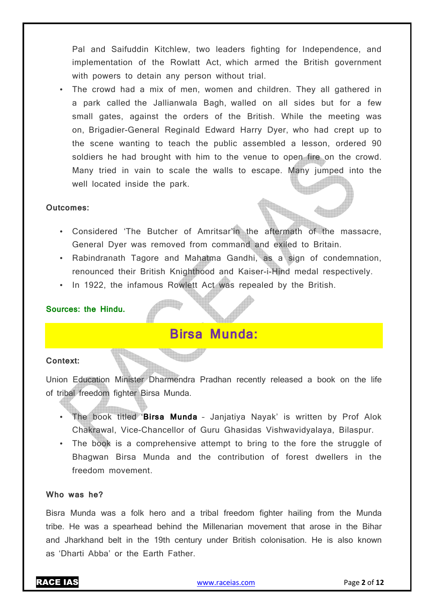Pal and Saifuddin Kitchlew, two leaders fighting for Independence, and implementation of the Rowlatt Act, which armed the British government with powers to detain any person without trial.

• The crowd had a mix of men, women and children. They all gathered in a park called the Jallianwala Bagh, walled on all sides but for a few small gates, against the orders of the British. While the meeting was on, Brigadier-General Reginald Edward Harry Dyer, who had crept up to the scene wanting to teach the public assembled a lesson, ordered 90 soldiers he had brought with him to the venue to open fire on the crowd. Many tried in vain to scale the walls to escape. Many jumped into the well located inside the park.

### **Outcomes:**

- Considered 'The Butcher of Amritsar'in the aftermath of the massacre, General Dyer was removed from command and exiled to Britain.
- Rabindranath Tagore and Mahatma Gandhi, as a sign of condemnation, renounced their British Knighthood and Kaiser-i-Hind medal respectively.
- In 1922, the infamous Rowlett Act was repealed by the British.

## **Sources: the Hindu.**

## **Birsa Munda:**

## **Context:**

Union Education Minister Dharmendra Pradhan recently released a book on the life of tribal freedom fighter Birsa Munda.

- The book titled '**Birsa Munda** Janjatiya Nayak' is written by Prof Alok Chakrawal, Vice-Chancellor of Guru Ghasidas Vishwavidyalaya, Bilaspur.
- The book is a comprehensive attempt to bring to the fore the struggle of Bhagwan Birsa Munda and the contribution of forest dwellers in the freedom movement.

## **Who was he?**

Bisra Munda was a folk hero and a tribal freedom fighter hailing from the Munda tribe. He was a spearhead behind the Millenarian movement that arose in the Bihar and Jharkhand belt in the 19th century under British colonisation. He is also known as 'Dharti Abba' or the Earth Father.

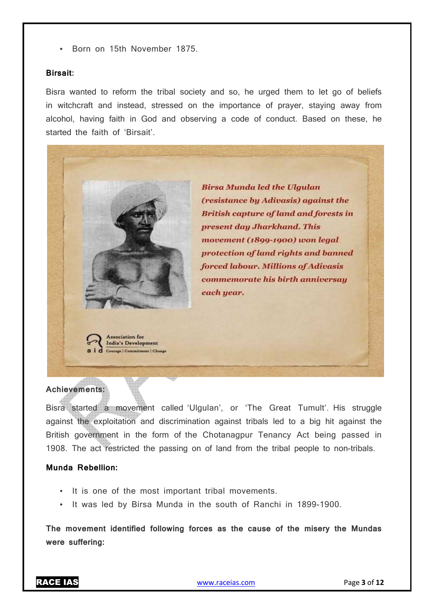• Born on 15th November 1875.

#### **Birsait:**

Bisra wanted to reform the tribal society and so, he urged them to let go of beliefs in witchcraft and instead, stressed on the importance of prayer, staying away from alcohol, having faith in God and observing a code of conduct. Based on these, he started the faith of 'Birsait'.

**Birsa Munda led the Ulgulan** 

present day Jharkhand. This

movement (1899-1900) won legal

forced labour. Millions of Adivasis commemorate his birth anniversay

protection of land rights and banned

(resistance by Adivasis) against the **British capture of land and forests in** 

**Achievements:** 

**Association** for India's Development Courage | Commitment | Change

Bisra started a movement called 'Ulgulan', or 'The Great Tumult'. His struggle against the exploitation and discrimination against tribals led to a big hit against the British government in the form of the Chotanagpur Tenancy Act being passed in 1908. The act restricted the passing on of land from the tribal people to non-tribals.

each year.

### **Munda Rebellion:**

- It is one of the most important tribal movements.
- It was led by Birsa Munda in the south of Ranchi in 1899-1900.

**The movement identified following forces as the cause of the misery the Mundas were suffering:** 

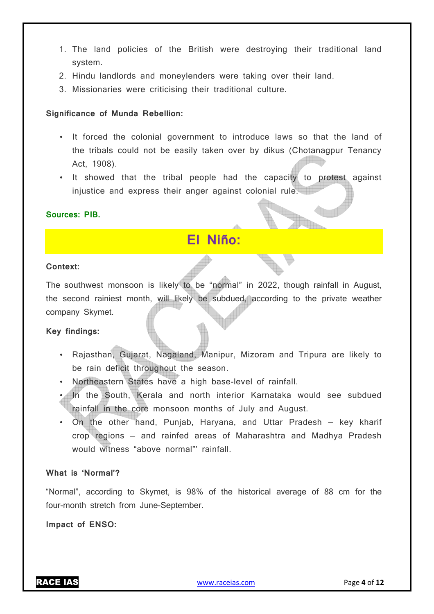- 1. The land policies of the British were destroying their traditional land system.
- 2. Hindu landlords and moneylenders were taking over their land.
- 3. Missionaries were criticising their traditional culture.

## **Significance of Munda Rebellion:**

- It forced the colonial government to introduce laws so that the land of the tribals could not be easily taken over by dikus (Chotanagpur Tenancy Act, 1908).
- It showed that the tribal people had the capacity to protest against injustice and express their anger against colonial rule.

## **Sources: PIB.**

## **El Niño:**

### **Context:**

The southwest monsoon is likely to be "normal" in 2022, though rainfall in August, the second rainiest month, will likely be subdued, according to the private weather company Skymet.

## **Key findings:**

- Rajasthan, Gujarat, Nagaland, Manipur, Mizoram and Tripura are likely to be rain deficit throughout the season.
- Northeastern States have a high base-level of rainfall.
- In the South, Kerala and north interior Karnataka would see subdued rainfall in the core monsoon months of July and August.
- On the other hand, Punjab, Haryana, and Uttar Pradesh key kharif crop regions — and rainfed areas of Maharashtra and Madhya Pradesh would witness "above normal"' rainfall.

## **What is 'Normal'?**

"Normal", according to Skymet, is 98% of the historical average of 88 cm for the four-month stretch from June-September.

**Impact of ENSO:**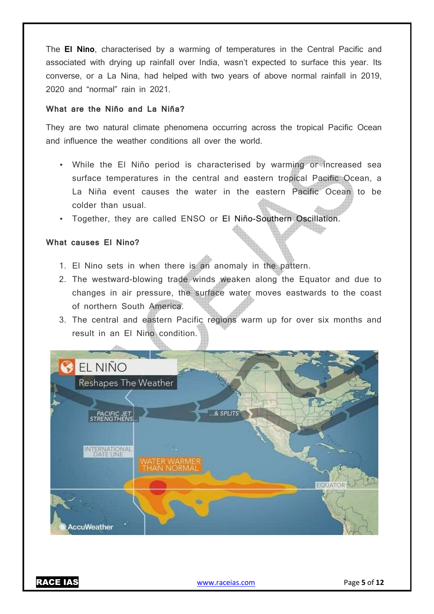The **El Nino**, characterised by a warming of temperatures in the Central Pacific and associated with drying up rainfall over India, wasn't expected to surface this year. Its converse, or a La Nina, had helped with two years of above normal rainfall in 2019, 2020 and "normal" rain in 2021.

## **What are the Niño and La Niña?**

They are two natural climate phenomena occurring across the tropical Pacific Ocean and influence the weather conditions all over the world.

- While the El Niño period is characterised by warming or increased sea surface temperatures in the central and eastern tropical Pacific Ocean, a La Niña event causes the water in the eastern Pacific Ocean to be colder than usual.
- Together, they are called ENSO or El Niño-Southern Oscillation.

#### **What causes El Nino?**

- 1. El Nino sets in when there is an anomaly in the pattern.
- 2. The westward-blowing trade winds weaken along the Equator and due to changes in air pressure, the surface water moves eastwards to the coast of northern South America.
- 3. The central and eastern Pacific regions warm up for over six months and result in an El Nino condition.

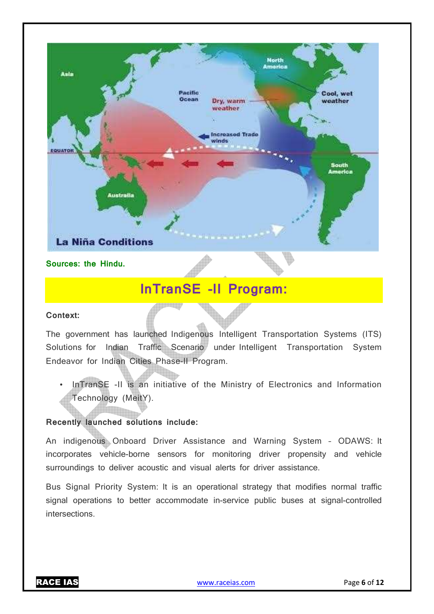

**Sources: the Hindu.**

## **InTranSE -II Program:**

## **Context:**

The government has launched Indigenous Intelligent Transportation Systems (ITS) Solutions for Indian Traffic Scenario under Intelligent Transportation System Endeavor for Indian Cities Phase-II Program.

InTranSE -II is an initiative of the Ministry of Electronics and Information Technology (MeitY).

## **Recently launched solutions include:**

An indigenous Onboard Driver Assistance and Warning System – ODAWS: It incorporates vehicle-borne sensors for monitoring driver propensity and vehicle surroundings to deliver acoustic and visual alerts for driver assistance.

Bus Signal Priority System: It is an operational strategy that modifies normal traffic signal operations to better accommodate in-service public buses at signal-controlled intersections.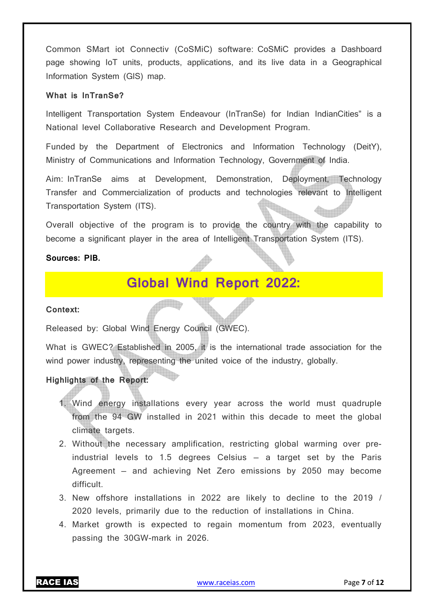Common SMart iot Connectiv (CoSMiC) software: CoSMiC provides a Dashboard page showing IoT units, products, applications, and its live data in a Geographical Information System (GIS) map.

## **What is InTranSe?**

Intelligent Transportation System Endeavour (InTranSe) for Indian IndianCities" is a National level Collaborative Research and Development Program.

Funded by the Department of Electronics and Information Technology (DeitY), Ministry of Communications and Information Technology, Government of India.

Aim: InTranSe aims at Development, Demonstration, Deployment, Technology Transfer and Commercialization of products and technologies relevant to Intelligent Transportation System (ITS).

Overall objective of the program is to provide the country with the capability to become a significant player in the area of Intelligent Transportation System (ITS).

#### **Sources: PIB.**

## **Global Wind Report 2022:**

#### **Context:**

Released by: Global Wind Energy Council (GWEC).

What is GWEC? Established in 2005, it is the international trade association for the wind power industry, representing the united voice of the industry, globally.

## **Highlights of the Report:**

- 1. Wind energy installations every year across the world must quadruple from the 94 GW installed in 2021 within this decade to meet the global climate targets.
- 2. Without the necessary amplification, restricting global warming over preindustrial levels to 1.5 degrees Celsius — a target set by the Paris Agreement — and achieving Net Zero emissions by 2050 may become difficult.
- 3. New offshore installations in 2022 are likely to decline to the 2019 / 2020 levels, primarily due to the reduction of installations in China.
- 4. Market growth is expected to regain momentum from 2023, eventually passing the 30GW-mark in 2026.

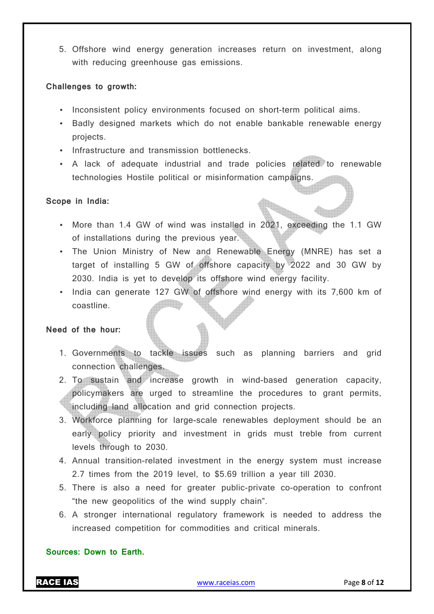5. Offshore wind energy generation increases return on investment, along with reducing greenhouse gas emissions.

## **Challenges to growth:**

- Inconsistent policy environments focused on short-term political aims.
- Badly designed markets which do not enable bankable renewable energy projects.
- Infrastructure and transmission bottlenecks.
- A lack of adequate industrial and trade policies related to renewable technologies Hostile political or misinformation campaigns.

## **Scope in India:**

- More than 1.4 GW of wind was installed in 2021, exceeding the 1.1 GW of installations during the previous year.
- The Union Ministry of New and Renewable Energy (MNRE) has set a target of installing 5 GW of offshore capacity by 2022 and 30 GW by 2030. India is yet to develop its offshore wind energy facility.
- India can generate 127 GW of offshore wind energy with its 7,600 km of coastline.

## **Need of the hour:**

- 1. Governments to tackle issues such as planning barriers and grid connection challenges.
- 2. To sustain and increase growth in wind-based generation capacity, policymakers are urged to streamline the procedures to grant permits, including land allocation and grid connection projects.
- 3. Workforce planning for large-scale renewables deployment should be an early policy priority and investment in grids must treble from current levels through to 2030.
- 4. Annual transition-related investment in the energy system must increase 2.7 times from the 2019 level, to \$5.69 trillion a year till 2030.
- 5. There is also a need for greater public-private co-operation to confront "the new geopolitics of the wind supply chain".
- 6. A stronger international regulatory framework is needed to address the increased competition for commodities and critical minerals.

## **Sources: Down to Earth.**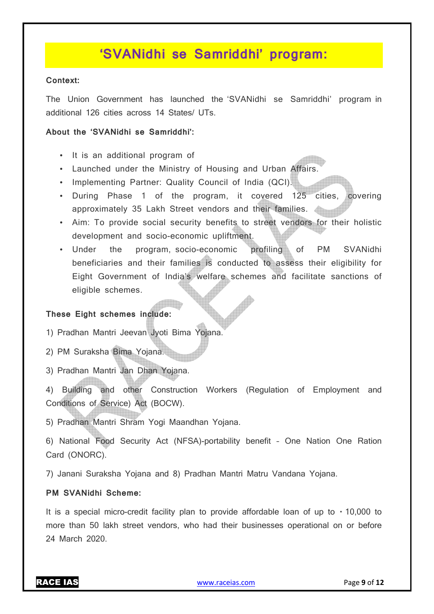## **'SVANidhi se Samriddhi' program:**

### **Context:**

The Union Government has launched the 'SVANidhi se Samriddhi' program in additional 126 cities across 14 States/ UTs.

### **About the 'SVANidhi se Samriddhi':**

- It is an additional program of
- Launched under the Ministry of Housing and Urban Affairs.
- Implementing Partner: Quality Council of India (QCI).
- During Phase 1 of the program, it covered 125 cities, covering approximately 35 Lakh Street vendors and their families.
- Aim: To provide social security benefits to street vendors for their holistic development and socio-economic upliftment.
- Under the program, socio-economic profiling of PM SVANidhi beneficiaries and their families is conducted to assess their eligibility for Eight Government of India's welfare schemes and facilitate sanctions of eligible schemes.

## **These Eight schemes include:**

1) Pradhan Mantri Jeevan Jyoti Bima Yojana.

- 2) PM Suraksha Bima Yojana.
- 3) Pradhan Mantri Jan Dhan Yojana.

4) Building and other Construction Workers (Regulation of Employment and Conditions of Service) Act (BOCW).

5) Pradhan Mantri Shram Yogi Maandhan Yojana.

6) National Food Security Act (NFSA)-portability benefit – One Nation One Ration Card (ONORC).

7) Janani Suraksha Yojana and 8) Pradhan Mantri Matru Vandana Yojana.

## **PM SVANidhi Scheme:**

It is a special micro-credit facility plan to provide affordable loan of up to  $\cdot$  10,000 to more than 50 lakh street vendors, who had their businesses operational on or before 24 March 2020.

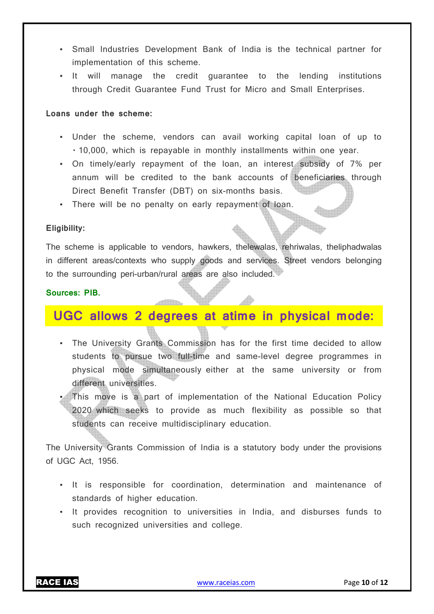- Small Industries Development Bank of India is the technical partner for implementation of this scheme.
- It will manage the credit guarantee to the lending institutions through Credit Guarantee Fund Trust for Micro and Small Enterprises.

### **Loans under the scheme:**

- Under the scheme, vendors can avail working capital loan of up to  $\cdot$  10,000, which is repayable in monthly installments within one year.
- On timely/early repayment of the loan, an interest subsidy of 7% per annum will be credited to the bank accounts of beneficiaries through Direct Benefit Transfer (DBT) on six-months basis.
- There will be no penalty on early repayment of loan.

## **Eligibility:**

The scheme is applicable to vendors, hawkers, thelewalas, rehriwalas, theliphadwalas in different areas/contexts who supply goods and services. Street vendors belonging to the surrounding peri-urban/rural areas are also included.

### **Sources: PIB.**

## **UGC allows 2 degrees at atime in physical mode:**

- The University Grants Commission has for the first time decided to allow students to pursue two full-time and same-level degree programmes in physical mode simultaneously either at the same university or from different universities.
- This move is a part of implementation of the National Education Policy 2020 which seeks to provide as much flexibility as possible so that students can receive multidisciplinary education.

The University Grants Commission of India is a statutory body under the provisions of UGC Act, 1956.

- It is responsible for coordination, determination and maintenance of standards of higher education.
- It provides recognition to universities in India, and disburses funds to such recognized universities and college.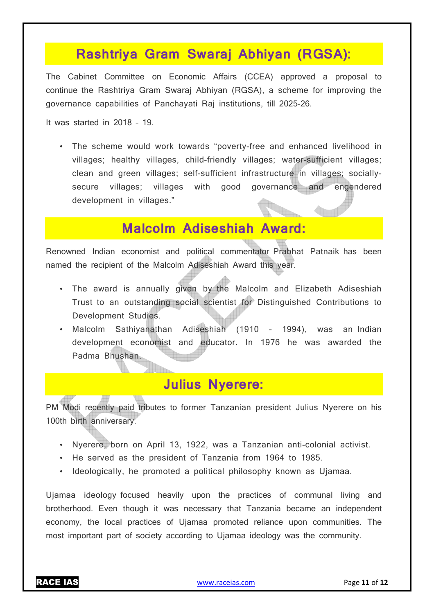## **Rashtriya Gram Swaraj Abhiyan (RGSA):**

The Cabinet Committee on Economic Affairs (CCEA) approved a proposal to continue the Rashtriya Gram Swaraj Abhiyan (RGSA), a scheme for improving the governance capabilities of Panchayati Raj institutions, till 2025-26.

It was started in 2018 – 19.

• The scheme would work towards "poverty-free and enhanced livelihood in villages; healthy villages, child-friendly villages; water-sufficient villages; clean and green villages; self-sufficient infrastructure in villages; sociallysecure villages; villages with good governance and engendered development in villages."

## **Malcolm Adiseshiah Award:**

Renowned Indian economist and political commentator Prabhat Patnaik has been named the recipient of the Malcolm Adiseshiah Award this year.

- The award is annually given by the Malcolm and Elizabeth Adiseshiah Trust to an outstanding social scientist for Distinguished Contributions to Development Studies.
- Malcolm Sathiyanathan Adiseshiah (1910 1994), was an Indian development economist and educator. In 1976 he was awarded the Padma Bhushan.

## **Julius Nyerere:**

PM Modi recently paid tributes to former Tanzanian president Julius Nyerere on his 100th birth anniversary.

- Nyerere, born on April 13, 1922, was a Tanzanian anti-colonial activist.
- He served as the president of Tanzania from 1964 to 1985.
- Ideologically, he promoted a political philosophy known as Ujamaa.

Ujamaa ideology focused heavily upon the practices of communal living and brotherhood. Even though it was necessary that Tanzania became an independent economy, the local practices of Ujamaa promoted reliance upon communities. The most important part of society according to Ujamaa ideology was the community.